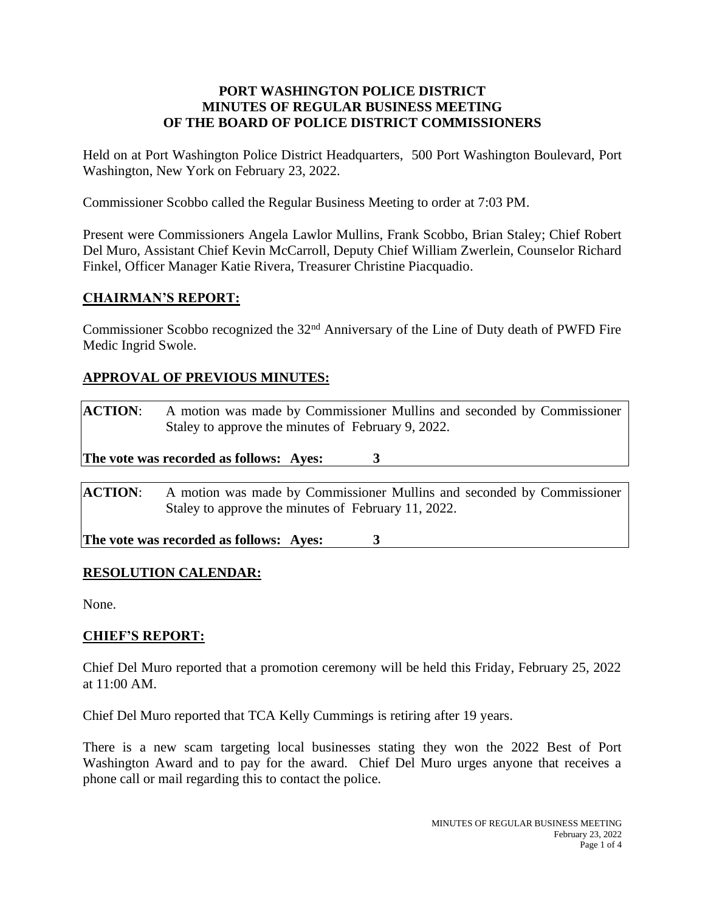#### **PORT WASHINGTON POLICE DISTRICT MINUTES OF REGULAR BUSINESS MEETING OF THE BOARD OF POLICE DISTRICT COMMISSIONERS**

Held on at Port Washington Police District Headquarters, 500 Port Washington Boulevard, Port Washington, New York on February 23, 2022.

Commissioner Scobbo called the Regular Business Meeting to order at 7:03 PM.

Present were Commissioners Angela Lawlor Mullins, Frank Scobbo, Brian Staley; Chief Robert Del Muro, Assistant Chief Kevin McCarroll, Deputy Chief William Zwerlein, Counselor Richard Finkel, Officer Manager Katie Rivera, Treasurer Christine Piacquadio.

## **CHAIRMAN'S REPORT:**

Commissioner Scobbo recognized the 32nd Anniversary of the Line of Duty death of PWFD Fire Medic Ingrid Swole.

# **APPROVAL OF PREVIOUS MINUTES:**

| <b>ACTION:</b>                                                                                                                                  | A motion was made by Commissioner Mullins and seconded by Commissioner<br>Staley to approve the minutes of February 9, 2022. |  |  |  |
|-------------------------------------------------------------------------------------------------------------------------------------------------|------------------------------------------------------------------------------------------------------------------------------|--|--|--|
| The vote was recorded as follows: Ayes:                                                                                                         |                                                                                                                              |  |  |  |
| <b>ACTION:</b><br>A motion was made by Commissioner Mullins and seconded by Commissioner<br>Staley to approve the minutes of February 11, 2022. |                                                                                                                              |  |  |  |

**The vote was recorded as follows: Ayes: 3**

## **RESOLUTION CALENDAR:**

None.

# **CHIEF'S REPORT:**

Chief Del Muro reported that a promotion ceremony will be held this Friday, February 25, 2022 at 11:00 AM.

Chief Del Muro reported that TCA Kelly Cummings is retiring after 19 years.

There is a new scam targeting local businesses stating they won the 2022 Best of Port Washington Award and to pay for the award. Chief Del Muro urges anyone that receives a phone call or mail regarding this to contact the police.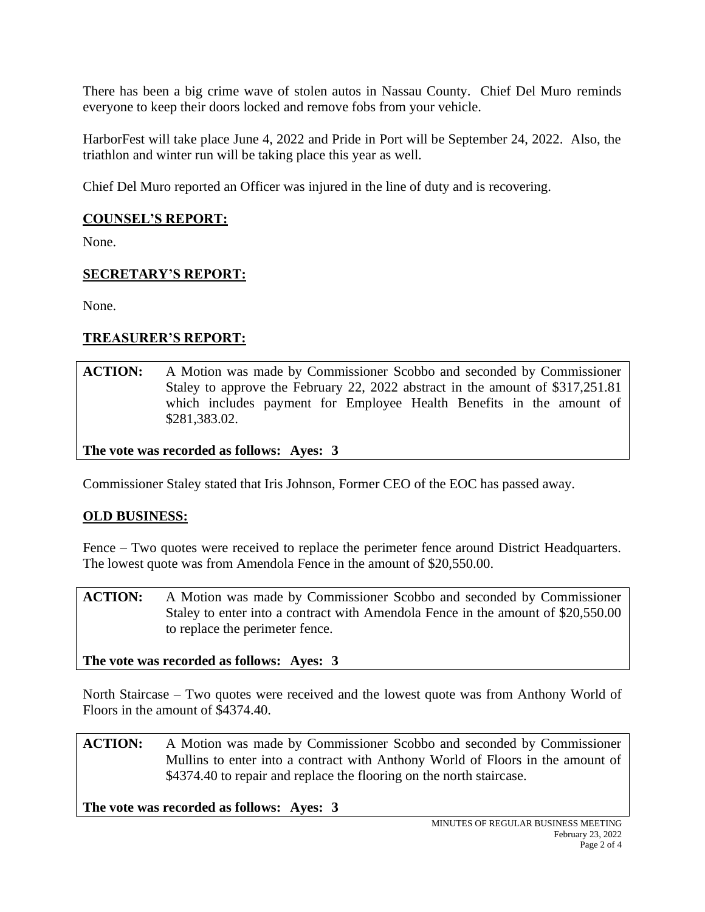There has been a big crime wave of stolen autos in Nassau County. Chief Del Muro reminds everyone to keep their doors locked and remove fobs from your vehicle.

HarborFest will take place June 4, 2022 and Pride in Port will be September 24, 2022. Also, the triathlon and winter run will be taking place this year as well.

Chief Del Muro reported an Officer was injured in the line of duty and is recovering.

#### **COUNSEL'S REPORT:**

None.

## **SECRETARY'S REPORT:**

None.

# **TREASURER'S REPORT:**

**ACTION:** A Motion was made by Commissioner Scobbo and seconded by Commissioner Staley to approve the February 22, 2022 abstract in the amount of \$317,251.81 which includes payment for Employee Health Benefits in the amount of \$281,383.02.

**The vote was recorded as follows: Ayes: 3**

Commissioner Staley stated that Iris Johnson, Former CEO of the EOC has passed away.

## **OLD BUSINESS:**

Fence – Two quotes were received to replace the perimeter fence around District Headquarters. The lowest quote was from Amendola Fence in the amount of \$20,550.00.

**ACTION:** A Motion was made by Commissioner Scobbo and seconded by Commissioner Staley to enter into a contract with Amendola Fence in the amount of \$20,550.00 to replace the perimeter fence.

**The vote was recorded as follows: Ayes: 3**

North Staircase – Two quotes were received and the lowest quote was from Anthony World of Floors in the amount of \$4374.40.

**ACTION:** A Motion was made by Commissioner Scobbo and seconded by Commissioner Mullins to enter into a contract with Anthony World of Floors in the amount of \$4374.40 to repair and replace the flooring on the north staircase.

**The vote was recorded as follows: Ayes: 3**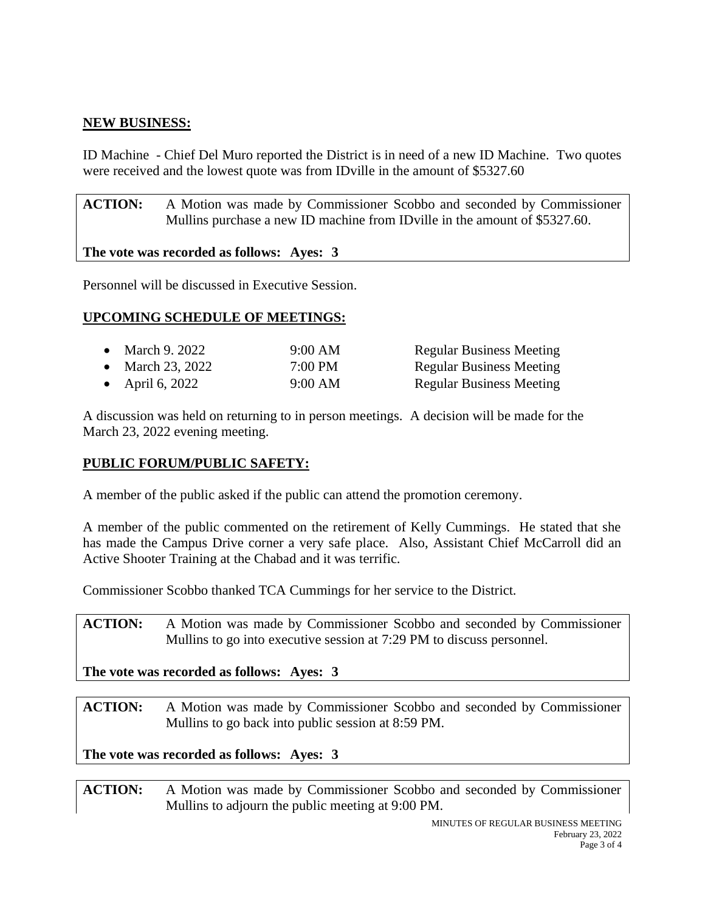## **NEW BUSINESS:**

ID Machine - Chief Del Muro reported the District is in need of a new ID Machine. Two quotes were received and the lowest quote was from IDville in the amount of \$5327.60

**ACTION:** A Motion was made by Commissioner Scobbo and seconded by Commissioner Mullins purchase a new ID machine from IDville in the amount of \$5327.60.

#### **The vote was recorded as follows: Ayes: 3**

Personnel will be discussed in Executive Session.

## **UPCOMING SCHEDULE OF MEETINGS:**

| • March 9. 2022  | 9:00 AM           | <b>Regular Business Meeting</b> |
|------------------|-------------------|---------------------------------|
| • March 23, 2022 | $7:00 \text{ PM}$ | <b>Regular Business Meeting</b> |
| • April 6, 2022  | 9:00 AM           | <b>Regular Business Meeting</b> |

A discussion was held on returning to in person meetings. A decision will be made for the March 23, 2022 evening meeting.

## **PUBLIC FORUM/PUBLIC SAFETY:**

A member of the public asked if the public can attend the promotion ceremony.

A member of the public commented on the retirement of Kelly Cummings. He stated that she has made the Campus Drive corner a very safe place. Also, Assistant Chief McCarroll did an Active Shooter Training at the Chabad and it was terrific.

Commissioner Scobbo thanked TCA Cummings for her service to the District.

**ACTION:** A Motion was made by Commissioner Scobbo and seconded by Commissioner Mullins to go into executive session at 7:29 PM to discuss personnel.

**The vote was recorded as follows: Ayes: 3**

**ACTION:** A Motion was made by Commissioner Scobbo and seconded by Commissioner Mullins to go back into public session at 8:59 PM.

**The vote was recorded as follows: Ayes: 3**

**ACTION:** A Motion was made by Commissioner Scobbo and seconded by Commissioner Mullins to adjourn the public meeting at 9:00 PM.